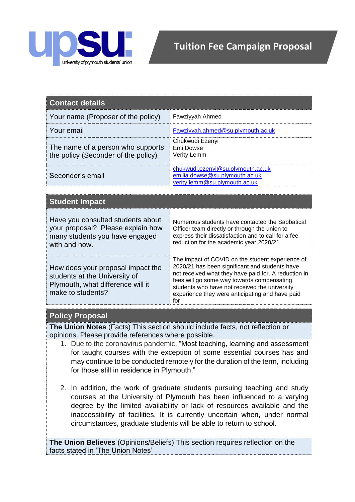

| <b>Contact details</b>                                                   |                                                                                                      |
|--------------------------------------------------------------------------|------------------------------------------------------------------------------------------------------|
| Your name (Proposer of the policy)                                       | Fawziyyah Ahmed                                                                                      |
| Your email                                                               | Fawziyyah.ahmed@su.plymouth.ac.uk                                                                    |
| The name of a person who supports<br>the policy (Seconder of the policy) | Chukwudi Ezenyi<br><b>Emi Dowse</b><br>Verity Lemm                                                   |
| Seconder's email                                                         | chukwudi.ezenyi@su.plymouth.ac.uk<br>emilia.dowse@su.plymouth.ac.uk<br>verity.lemm@su.plymouth.ac.uk |

| <b>Student Impact</b>                                                                                                        |                                                                                                                                                                                                                                                                                                                     |
|------------------------------------------------------------------------------------------------------------------------------|---------------------------------------------------------------------------------------------------------------------------------------------------------------------------------------------------------------------------------------------------------------------------------------------------------------------|
| Have you consulted students about<br>your proposal? Please explain how<br>many students you have engaged<br>with and how.    | Numerous students have contacted the Sabbatical<br>Officer team directly or through the union to<br>express their dissatisfaction and to call for a fee<br>reduction for the academic year 2020/21                                                                                                                  |
| How does your proposal impact the<br>students at the University of<br>Plymouth, what difference will it<br>make to students? | The impact of COVID on the student experience of<br>2020/21 has been significant and students have<br>not received what they have paid for. A reduction in<br>fees will go some way towards compensating<br>students who have not received the university<br>experience they were anticipating and have paid<br>for |

## **Policy Proposal**

**The Union Notes** (Facts) This section should include facts, not reflection or opinions. Please provide references where possible.

- 1. Due to the coronavirus pandemic, "Most teaching, learning and assessment for taught courses with the exception of some essential courses has and may continue to be conducted remotely for the duration of the term, including for those still in residence in Plymouth."
- 2. In addition, the work of graduate students pursuing teaching and study courses at the University of Plymouth has been influenced to a varying degree by the limited availability or lack of resources available and the inaccessibility of facilities. It is currently uncertain when, under normal circumstances, graduate students will be able to return to school.

**The Union Believes** (Opinions/Beliefs) This section requires reflection on the facts stated in 'The Union Notes'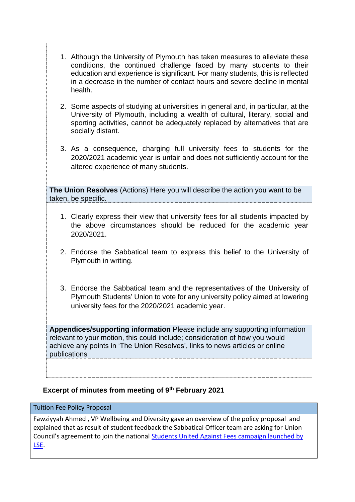- 1. Although the University of Plymouth has taken measures to alleviate these conditions, the continued challenge faced by many students to their education and experience is significant. For many students, this is reflected in a decrease in the number of contact hours and severe decline in mental health.
- 2. Some aspects of studying at universities in general and, in particular, at the University of Plymouth, including a wealth of cultural, literary, social and sporting activities, cannot be adequately replaced by alternatives that are socially distant.
- 3. As a consequence, charging full university fees to students for the 2020/2021 academic year is unfair and does not sufficiently account for the altered experience of many students.

**The Union Resolves** (Actions) Here you will describe the action you want to be taken, be specific.

- 1. Clearly express their view that university fees for all students impacted by the above circumstances should be reduced for the academic year 2020/2021.
- 2. Endorse the Sabbatical team to express this belief to the University of Plymouth in writing.
- 3. Endorse the Sabbatical team and the representatives of the University of Plymouth Students' Union to vote for any university policy aimed at lowering university fees for the 2020/2021 academic year.

**Appendices/supporting information** Please include any supporting information relevant to your motion, this could include; consideration of how you would achieve any points in 'The Union Resolves', links to news articles or online publications

## **Excerpt of minutes from meeting of 9th February 2021**

## Tuition Fee Policy Proposal

Fawziyyah Ahmed , VP Wellbeing and Diversity gave an overview of the policy proposal and explained that as result of student feedback the Sabbatical Officer team are asking for Union Council's agreement to join the national [Students United Against Fees campaign launched by](https://www.lsesu.com/suaf/about/)  [LSE.](https://www.lsesu.com/suaf/about/)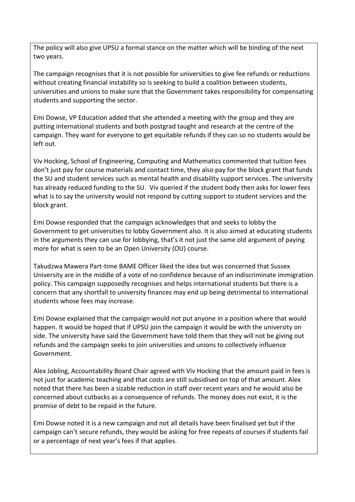The policy will also give UPSU a formal stance on the matter which will be binding of the next two years.

The campaign recognises that it is not possible for universities to give fee refunds or reductions without creating financial instability so is seeking to build a coalition between students, universities and unions to make sure that the Government takes responsibility for compensating students and supporting the sector.

Emi Dowse, VP Education added that she attended a meeting with the group and they are putting international students and both postgrad taught and research at the centre of the campaign. They want for everyone to get equitable refunds if they can so no students would be left out.

Viv Hocking, School of Engineering, Computing and Mathematics commented that tuition fees don't just pay for course materials and contact time, they also pay for the block grant that funds the SU and student services such as mental health and disability support services. The university has already reduced funding to the SU. Viv queried if the student body then asks for lower fees what is to say the university would not respond by cutting support to student services and the block grant.

Emi Dowse responded that the campaign acknowledges that and seeks to lobby the Government to get universities to lobby Government also. It is also aimed at educating students in the arguments they can use for lobbying, that's it not just the same old argument of paying more for what is seen to be an Open University (OU) course.

Takudzwa Mawera Part-time BAME Officer liked the idea but was concerned that Sussex University are in the middle of a vote of no confidence because of an indiscriminate immigration policy. This campaign supposedly recognises and helps international students but there is a concern that any shortfall to university finances may end up being detrimental to international students whose fees may increase.

Emi Dowse explained that the campaign would not put anyone in a position where that would happen. It would be hoped that if UPSU join the campaign it would be with the university on side. The university have said the Government have told them that they will not be giving out refunds and the campaign seeks to join universities and unions to collectively influence Government.

Alex Jobling, Accountability Board Chair agreed with Viv Hocking that the amount paid in fees is not just for academic teaching and that costs are still subsidised on top of that amount. Alex noted that there has been a sizable reduction in staff over recent years and he would also be concerned about cutbacks as a consequence of refunds. The money does not exist, it is the promise of debt to be repaid in the future.

Emi Dowse noted it is a new campaign and not all details have been finalised yet but if the campaign can't secure refunds, they would be asking for free repeats of courses if students fail or a percentage of next year's fees if that applies.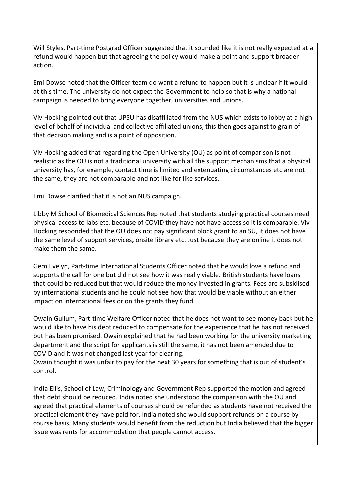Will Styles, Part-time Postgrad Officer suggested that it sounded like it is not really expected at a refund would happen but that agreeing the policy would make a point and support broader action.

Emi Dowse noted that the Officer team do want a refund to happen but it is unclear if it would at this time. The university do not expect the Government to help so that is why a national campaign is needed to bring everyone together, universities and unions.

Viv Hocking pointed out that UPSU has disaffiliated from the NUS which exists to lobby at a high level of behalf of individual and collective affiliated unions, this then goes against to grain of that decision making and is a point of opposition.

Viv Hocking added that regarding the Open University (OU) as point of comparison is not realistic as the OU is not a traditional university with all the support mechanisms that a physical university has, for example, contact time is limited and extenuating circumstances etc are not the same, they are not comparable and not like for like services.

Emi Dowse clarified that it is not an NUS campaign.

Libby M School of Biomedical Sciences Rep noted that students studying practical courses need physical access to labs etc. because of COVID they have not have access so it is comparable. Viv Hocking responded that the OU does not pay significant block grant to an SU, it does not have the same level of support services, onsite library etc. Just because they are online it does not make them the same.

Gem Evelyn, Part-time International Students Officer noted that he would love a refund and supports the call for one but did not see how it was really viable. British students have loans that could be reduced but that would reduce the money invested in grants. Fees are subsidised by international students and he could not see how that would be viable without an either impact on international fees or on the grants they fund.

Owain Gullum, Part-time Welfare Officer noted that he does not want to see money back but he would like to have his debt reduced to compensate for the experience that he has not received but has been promised. Owain explained that he had been working for the university marketing department and the script for applicants is still the same, it has not been amended due to COVID and it was not changed last year for clearing.

Owain thought it was unfair to pay for the next 30 years for something that is out of student's control.

India Ellis, School of Law, Criminology and Government Rep supported the motion and agreed that debt should be reduced. India noted she understood the comparison with the OU and agreed that practical elements of courses should be refunded as students have not received the practical element they have paid for. India noted she would support refunds on a course by course basis. Many students would benefit from the reduction but India believed that the bigger issue was rents for accommodation that people cannot access.